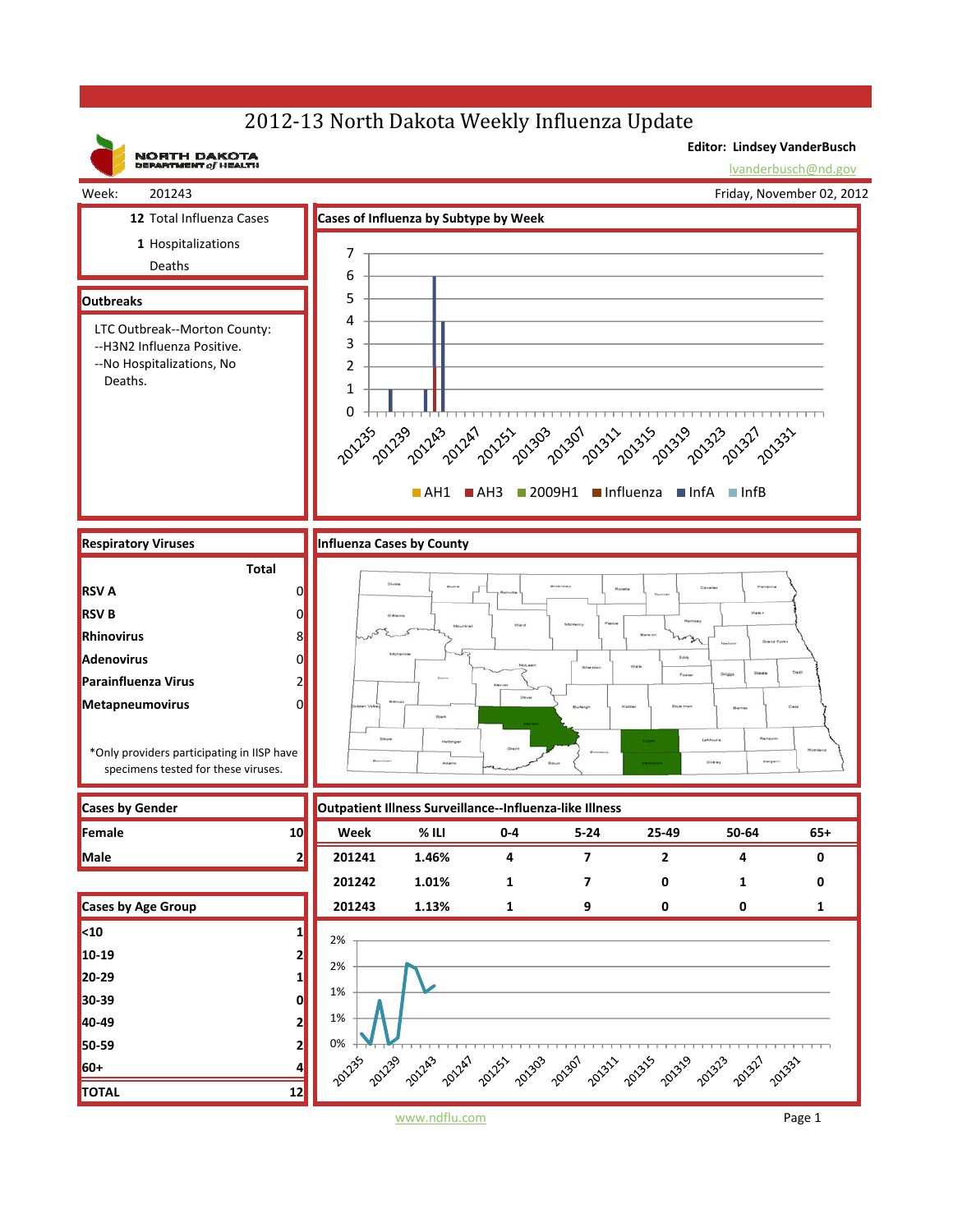## 2012-13 North Dakota Weekly Influenza Update



www.ndflu.com Page 1